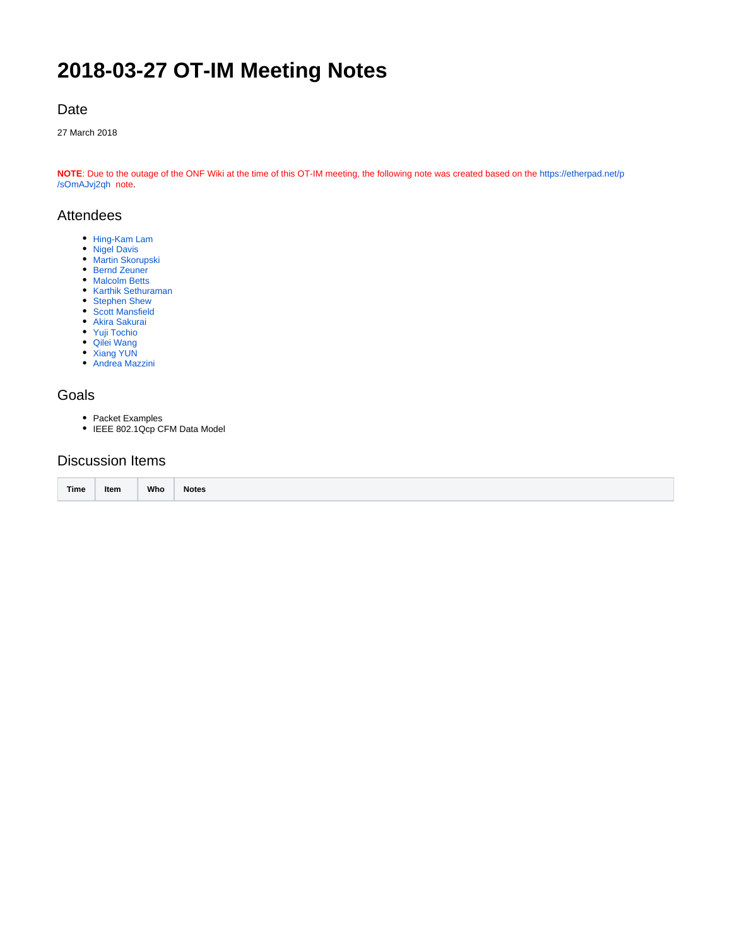# **2018-03-27 OT-IM Meeting Notes**

# Date

27 March 2018

**NOTE**: Due to the outage of the ONF Wiki at the time of this OT-IM meeting, the following note was created based on the [https://etherpad.net/p](https://etherpad.net/p/sOmAJvj2qh) [/sOmAJvj2qh](https://etherpad.net/p/sOmAJvj2qh) note.

### Attendees

- [Hing-Kam Lam](https://wiki.opennetworking.org/display/~hingkam.lam)
- [Nigel Davis](https://wiki.opennetworking.org/display/~ndavis@ciena.com)
- [Martin Skorupski](https://wiki.opennetworking.org/display/~demx8as6)
- [Bernd Zeuner](https://wiki.opennetworking.org/display/~b.zeuner@telekom.de)
- [Malcolm Betts](https://wiki.opennetworking.org/display/~malcolm.betts) [Karthik Sethuraman](https://wiki.opennetworking.org/display/~karthik.sethuraman@necam.com)
- 
- [Stephen Shew](https://wiki.opennetworking.org/display/~sshew@ciena.com) [Scott Mansfield](https://wiki.opennetworking.org/display/~scott.mansfield)
- [Akira Sakurai](https://wiki.opennetworking.org/display/~a-sakurai)
- [Yuji Tochio](https://wiki.opennetworking.org/display/~tochio)
- [Qilei Wang](https://wiki.opennetworking.org/display/~wql_68)
- [Xiang YUN](https://wiki.opennetworking.org/display/~Xiang+YUN)
- [Andrea Mazzini](https://wiki.opennetworking.org/display/~mazzini)

#### Goals

- Packet Examples
- IEEE 802.1Qcp CFM Data Model

# Discussion Items

|      | Item |     |              |
|------|------|-----|--------------|
| Time |      | Who | <b>Notes</b> |
|      |      |     |              |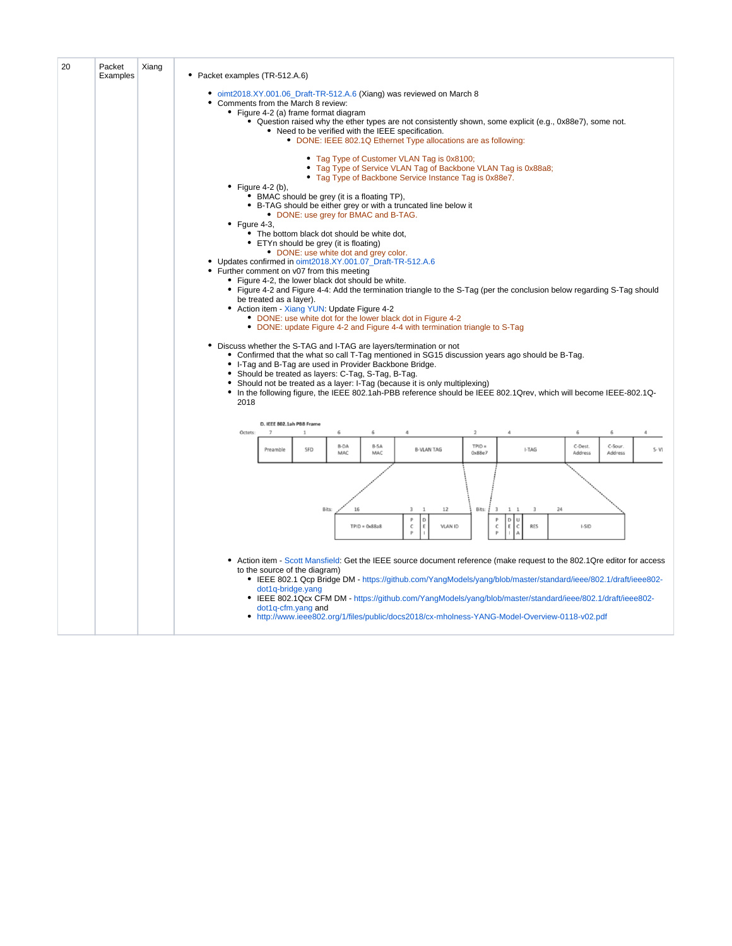| 20 | Packet<br>Examples | Xiang | • Packet examples (TR-512.A.6)                                                                                                                                                                        |                                                                                                                                                                                                                                                                                                                                                  |                     |                  |                        |                                                                                                                                                                                                               |                            |                                                                                                                                                                                                                                                                                                                                                         |              |              |          |  |  |
|----|--------------------|-------|-------------------------------------------------------------------------------------------------------------------------------------------------------------------------------------------------------|--------------------------------------------------------------------------------------------------------------------------------------------------------------------------------------------------------------------------------------------------------------------------------------------------------------------------------------------------|---------------------|------------------|------------------------|---------------------------------------------------------------------------------------------------------------------------------------------------------------------------------------------------------------|----------------------------|---------------------------------------------------------------------------------------------------------------------------------------------------------------------------------------------------------------------------------------------------------------------------------------------------------------------------------------------------------|--------------|--------------|----------|--|--|
|    |                    |       | Comments from the March 8 review:                                                                                                                                                                     | • Figure 4-2 (a) frame format diagram                                                                                                                                                                                                                                                                                                            |                     |                  |                        | • oimt2018.XY.001.06_Draft-TR-512.A.6 (Xiang) was reviewed on March 8                                                                                                                                         |                            |                                                                                                                                                                                                                                                                                                                                                         |              |              |          |  |  |
|    |                    |       |                                                                                                                                                                                                       |                                                                                                                                                                                                                                                                                                                                                  |                     |                  |                        | • Need to be verified with the IEEE specification.<br>• DONE: IEEE 802.1Q Ethernet Type allocations are as following:                                                                                         |                            | • Question raised why the ether types are not consistently shown, some explicit (e.g., 0x88e7), some not.                                                                                                                                                                                                                                               |              |              |          |  |  |
|    |                    |       |                                                                                                                                                                                                       |                                                                                                                                                                                                                                                                                                                                                  |                     |                  |                        | • Tag Type of Customer VLAN Tag is 0x8100;<br>• Tag Type of Service VLAN Tag of Backbone VLAN Tag is 0x88a8;<br>• Tag Type of Backbone Service Instance Tag is 0x88e7.                                        |                            |                                                                                                                                                                                                                                                                                                                                                         |              |              |          |  |  |
|    |                    |       | • Figure 4-2 (b),                                                                                                                                                                                     | • BMAC should be grey (it is a floating TP),<br>• DONE: use grey for BMAC and B-TAG.                                                                                                                                                                                                                                                             |                     |                  |                        | • B-TAG should be either grey or with a truncated line below it                                                                                                                                               |                            |                                                                                                                                                                                                                                                                                                                                                         |              |              |          |  |  |
|    |                    |       | $\bullet$ Fqure 4-3,                                                                                                                                                                                  | • The bottom black dot should be white dot,<br>• ETYn should be grey (it is floating)                                                                                                                                                                                                                                                            |                     |                  |                        |                                                                                                                                                                                                               |                            |                                                                                                                                                                                                                                                                                                                                                         |              |              |          |  |  |
|    |                    |       | • DONE: use white dot and grey color.<br>• Updates confirmed in oimt2018.XY.001.07_Draft-TR-512.A.6<br>Further comment on v07 from this meeting<br>• Figure 4-2, the lower black dot should be white. |                                                                                                                                                                                                                                                                                                                                                  |                     |                  |                        |                                                                                                                                                                                                               |                            |                                                                                                                                                                                                                                                                                                                                                         |              |              |          |  |  |
|    |                    |       |                                                                                                                                                                                                       | • Figure 4-2 and Figure 4-4: Add the termination triangle to the S-Tag (per the conclusion below regarding S-Tag should<br>be treated as a layer).<br>• Action item - Xiang YUN: Update Figure 4-2<br>• DONE: use white dot for the lower black dot in Figure 4-2<br>• DONE: update Figure 4-2 and Figure 4-4 with termination triangle to S-Tag |                     |                  |                        |                                                                                                                                                                                                               |                            |                                                                                                                                                                                                                                                                                                                                                         |              |              |          |  |  |
|    |                    |       | 2018                                                                                                                                                                                                  | • Should be treated as layers: C-Tag, S-Tag, B-Tag.                                                                                                                                                                                                                                                                                              |                     |                  |                        | • Discuss whether the S-TAG and I-TAG are layers/termination or not<br>• I-Tag and B-Tag are used in Provider Backbone Bridge.<br>• Should not be treated as a layer: I-Tag (because it is only multiplexing) |                            | • Confirmed that the what so call T-Tag mentioned in SG15 discussion years ago should be B-Tag.<br>• In the following figure, the IEEE 802.1ah-PBB reference should be IEEE 802.1Qrev, which will become IEEE-802.1Q-                                                                                                                                   |              |              |          |  |  |
|    |                    |       |                                                                                                                                                                                                       | D. IEEE 802.1ah PBB Frame                                                                                                                                                                                                                                                                                                                        |                     |                  |                        |                                                                                                                                                                                                               |                            |                                                                                                                                                                                                                                                                                                                                                         |              |              |          |  |  |
|    |                    |       | Octets:                                                                                                                                                                                               | $\overline{z}$<br>Preamble                                                                                                                                                                                                                                                                                                                       | $\mathbf{1}$<br>SFD | 6<br><b>B-DA</b> | 6<br><b>B-SA</b>       | <b>B-VLAN TAG</b>                                                                                                                                                                                             | $\overline{2}$<br>$TPID =$ | I-TAG                                                                                                                                                                                                                                                                                                                                                   | 6<br>C-Dest. | 6<br>C-Sour. | $\Delta$ |  |  |
|    |                    |       |                                                                                                                                                                                                       |                                                                                                                                                                                                                                                                                                                                                  |                     | MAC              | MAC                    |                                                                                                                                                                                                               | 0x88e7                     |                                                                                                                                                                                                                                                                                                                                                         | Address      | Address      | $S - VI$ |  |  |
|    |                    |       |                                                                                                                                                                                                       |                                                                                                                                                                                                                                                                                                                                                  |                     |                  |                        |                                                                                                                                                                                                               |                            |                                                                                                                                                                                                                                                                                                                                                         |              |              |          |  |  |
|    |                    |       |                                                                                                                                                                                                       |                                                                                                                                                                                                                                                                                                                                                  |                     | Bits:<br>16      | $TPID = 0 \times 88a8$ | 12<br>$\mathbf{1}$<br>D<br>E<br><b>VLAN ID</b><br>c                                                                                                                                                           | Bits:<br>$\overline{3}$    | $\overline{3}$<br>24<br>$1\quad$<br>D<br>$\cup$<br><b>RES</b><br>c                                                                                                                                                                                                                                                                                      | I-SID        |              |          |  |  |
|    |                    |       |                                                                                                                                                                                                       | to the source of the diagram)<br>dot1q-bridge.yang<br>dot1q-cfm.yang and                                                                                                                                                                                                                                                                         |                     |                  |                        |                                                                                                                                                                                                               |                            | • Action item - Scott Mansfield: Get the IEEE source document reference (make request to the 802.1Qre editor for access<br>• IEEE 802.1 Qcp Bridge DM - https://github.com/YangModels/yang/blob/master/standard/ieee/802.1/draft/ieee802-<br>• IEEE 802.1Qcx CFM DM - https://github.com/YangModels/yang/blob/master/standard/ieee/802.1/draft/ieee802- |              |              |          |  |  |
|    |                    |       |                                                                                                                                                                                                       |                                                                                                                                                                                                                                                                                                                                                  |                     |                  |                        |                                                                                                                                                                                                               |                            | • http://www.ieee802.org/1/files/public/docs2018/cx-mholness-YANG-Model-Overview-0118-v02.pdf                                                                                                                                                                                                                                                           |              |              |          |  |  |